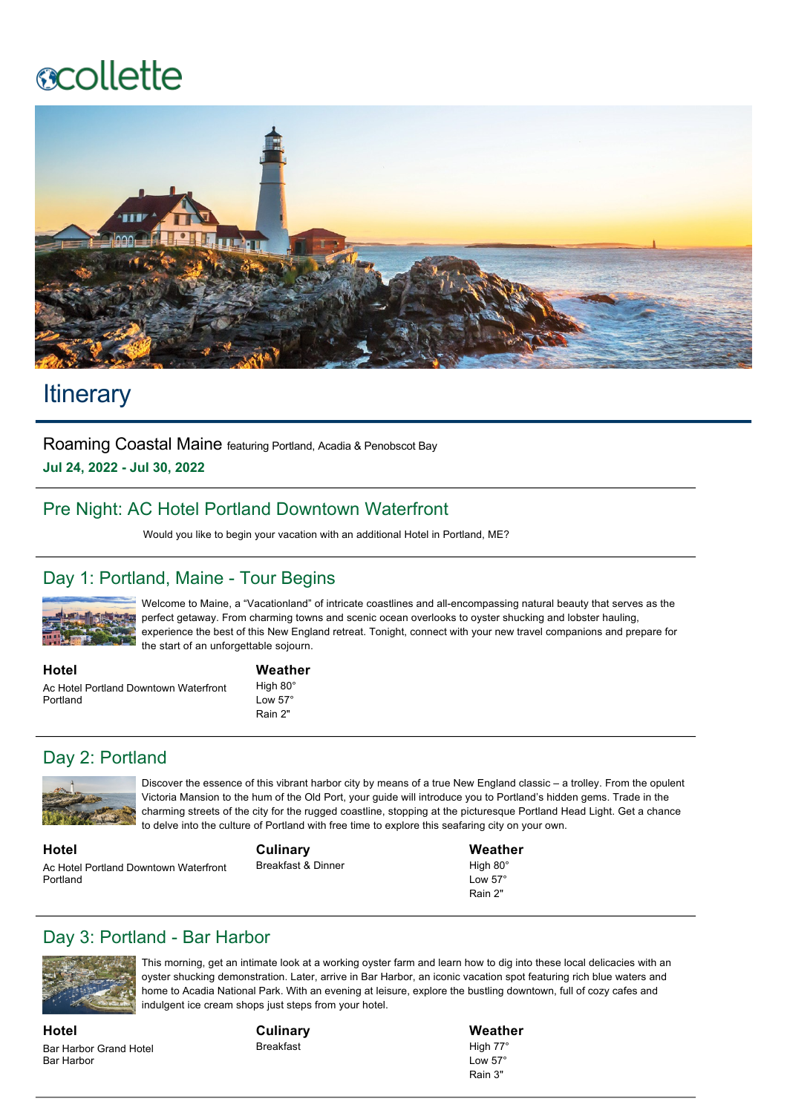# **ecollette**



## **Itinerary**

Roaming Coastal Maine featuring Portland, Acadia & Penobscot Bay **Jul 24, 2022 Jul 30, 2022**

## Pre Night: AC Hotel Portland Downtown Waterfront

Would you like to begin your vacation with an additional Hotel in Portland, ME?

### Day 1: Portland, Maine - Tour Begins



Welcome to Maine, a "Vacationland" of intricate coastlines and all-encompassing natural beauty that serves as the perfect getaway. From charming towns and scenic ocean overlooks to oyster shucking and lobster hauling, experience the best of this New England retreat. Tonight, connect with your new travel companions and prepare for the start of an unforgettable sojourn.

**Hotel** Ac Hotel Portland Downtown Waterfront Portland

#### **Weather**

High 80° Low 57° Rain 2"

#### Day 2: Portland



Discover the essence of this vibrant harbor city by means of a true New England classic – a trolley. From the opulent Victoria Mansion to the hum of the Old Port, your guide will introduce you to Portland's hidden gems. Trade in the charming streets of the city for the rugged coastline, stopping at the picturesque Portland Head Light. Get a chance to delve into the culture of Portland with free time to explore this seafaring city on your own.

**Hotel** Ac Hotel Portland Downtown Waterfront Portland

**Culinary** Breakfast & Dinner

**Weather** High 80° Low 57° Rain 2"

#### Day 3: Portland - Bar Harbor



This morning, get an intimate look at a working oyster farm and learn how to dig into these local delicacies with an oyster shucking demonstration. Later, arrive in Bar Harbor, an iconic vacation spot featuring rich blue waters and home to Acadia National Park. With an evening at leisure, explore the bustling downtown, full of cozy cafes and indulgent ice cream shops just steps from your hotel.

**Hotel** Bar Harbor Grand Hotel Bar Harbor

**Culinary** Breakfast

#### **Weather** High 77° Low 57° Rain 3"